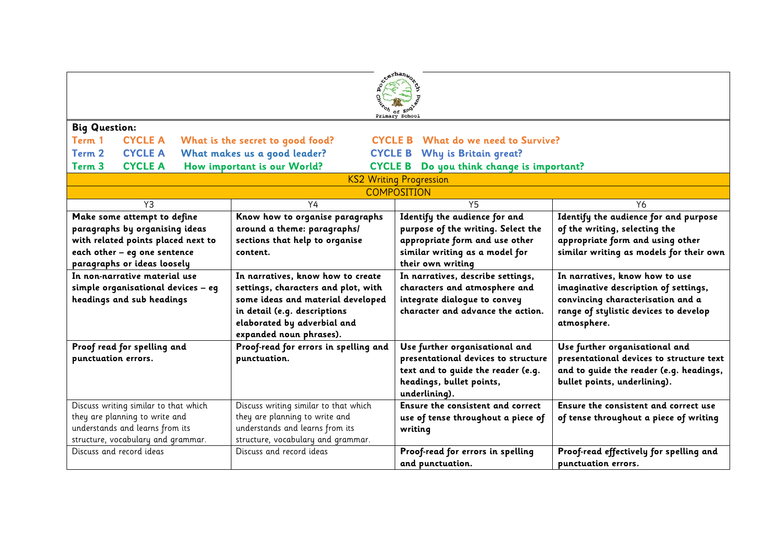| xerhan <sub>wo</sub><br>Primary School                                               |  |                                                               |                                            |                                                                           |                                                                                     |
|--------------------------------------------------------------------------------------|--|---------------------------------------------------------------|--------------------------------------------|---------------------------------------------------------------------------|-------------------------------------------------------------------------------------|
| <b>Big Question:</b>                                                                 |  |                                                               |                                            |                                                                           |                                                                                     |
| <b>CYCLE A</b><br>Term 1<br>What is the secret to good food?                         |  |                                                               | <b>CYCLE B</b> What do we need to Survive? |                                                                           |                                                                                     |
| <b>CYCLE A</b><br>Term 2                                                             |  | What makes us a good leader?                                  |                                            | <b>CYCLE B</b> Why is Britain great?                                      |                                                                                     |
| <b>CYCLE A</b><br>How important is our World?<br>Term <sub>3</sub><br><b>CYCLE B</b> |  |                                                               | Do you think change is important?          |                                                                           |                                                                                     |
|                                                                                      |  |                                                               |                                            | <b>KS2 Writing Progression</b>                                            |                                                                                     |
|                                                                                      |  |                                                               |                                            | <b>COMPOSITION</b>                                                        |                                                                                     |
| Y3                                                                                   |  | Y4                                                            |                                            | Y <sub>5</sub>                                                            | Y6                                                                                  |
| Make some attempt to define                                                          |  | Know how to organise paragraphs                               |                                            | Identify the audience for and                                             | Identify the audience for and purpose                                               |
| paragraphs by organising ideas                                                       |  | around a theme: paragraphs/<br>sections that help to organise |                                            | purpose of the writing. Select the<br>appropriate form and use other      | of the writing, selecting the<br>appropriate form and using other                   |
| with related points placed next to<br>each other - eg one sentence                   |  | content.                                                      |                                            | similar writing as a model for                                            | similar writing as models for their own                                             |
| paragraphs or ideas loosely                                                          |  |                                                               |                                            | their own writing                                                         |                                                                                     |
| In non-narrative material use                                                        |  | In narratives, know how to create                             |                                            | In narratives, describe settings,                                         | In narratives, know how to use                                                      |
| simple organisational devices - eg                                                   |  | settings, characters and plot, with                           |                                            | characters and atmosphere and                                             | imaginative description of settings,                                                |
| headings and sub headings                                                            |  | some ideas and material developed                             |                                            | integrate dialogue to convey                                              | convincing characterisation and a                                                   |
|                                                                                      |  | in detail (e.g. descriptions                                  |                                            | character and advance the action.                                         | range of stylistic devices to develop                                               |
|                                                                                      |  | elaborated by adverbial and                                   |                                            |                                                                           | atmosphere.                                                                         |
|                                                                                      |  | expanded noun phrases).                                       |                                            |                                                                           |                                                                                     |
| Proof read for spelling and                                                          |  | Proof-read for errors in spelling and                         |                                            | Use further organisational and                                            | Use further organisational and                                                      |
| punctuation errors.                                                                  |  | punctuation.                                                  |                                            | presentational devices to structure<br>text and to quide the reader (e.g. | presentational devices to structure text<br>and to guide the reader (e.g. headings, |
|                                                                                      |  |                                                               |                                            | headings, bullet points,                                                  | bullet points, underlining).                                                        |
|                                                                                      |  |                                                               |                                            | underlining).                                                             |                                                                                     |
| Discuss writing similar to that which                                                |  | Discuss writing similar to that which                         |                                            | Ensure the consistent and correct                                         | Ensure the consistent and correct use                                               |
| they are planning to write and                                                       |  | they are planning to write and                                |                                            | use of tense throughout a piece of                                        | of tense throughout a piece of writing                                              |
| understands and learns from its                                                      |  | understands and learns from its                               |                                            | writing                                                                   |                                                                                     |
| structure, vocabulary and grammar.                                                   |  | structure, vocabulary and grammar.                            |                                            |                                                                           |                                                                                     |
| Discuss and record ideas                                                             |  | Discuss and record ideas                                      |                                            | Proof-read for errors in spelling                                         | Proof-read effectively for spelling and                                             |
|                                                                                      |  |                                                               |                                            | and punctuation.                                                          | punctuation errors.                                                                 |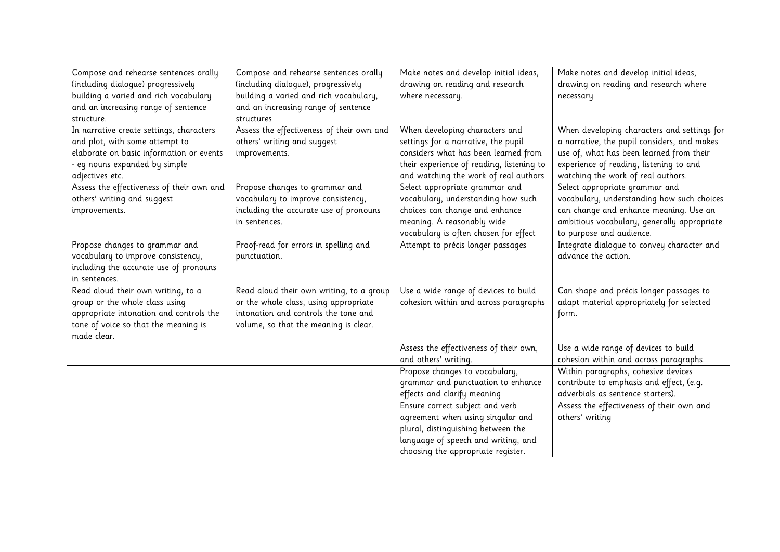| Compose and rehearse sentences orally     | Compose and rehearse sentences orally     | Make notes and develop initial ideas,     | Make notes and develop initial ideas,       |
|-------------------------------------------|-------------------------------------------|-------------------------------------------|---------------------------------------------|
| (including dialogue) progressively        | (including dialogue), progressively       | drawing on reading and research           | drawing on reading and research where       |
| building a varied and rich vocabulary     | building a varied and rich vocabulary,    | where necessary.                          | necessary                                   |
| and an increasing range of sentence       | and an increasing range of sentence       |                                           |                                             |
| structure.                                | structures                                |                                           |                                             |
| In narrative create settings, characters  | Assess the effectiveness of their own and | When developing characters and            | When developing characters and settings for |
| and plot, with some attempt to            | others' writing and suggest               | settings for a narrative, the pupil       | a narrative, the pupil considers, and makes |
| elaborate on basic information or events  | improvements.                             | considers what has been learned from      | use of, what has been learned from their    |
| - eg nouns expanded by simple             |                                           | their experience of reading, listening to | experience of reading, listening to and     |
| adjectives etc.                           |                                           | and watching the work of real authors     | watching the work of real authors.          |
| Assess the effectiveness of their own and | Propose changes to grammar and            | Select appropriate grammar and            | Select appropriate grammar and              |
| others' writing and suggest               | vocabulary to improve consistency,        | vocabulary, understanding how such        | vocabulary, understanding how such choices  |
| improvements.                             | including the accurate use of pronouns    | choices can change and enhance            | can change and enhance meaning. Use an      |
|                                           | in sentences.                             | meaning. A reasonably wide                | ambitious vocabulary, generally appropriate |
|                                           |                                           | vocabulary is often chosen for effect     | to purpose and audience.                    |
| Propose changes to grammar and            | Proof-read for errors in spelling and     | Attempt to précis longer passages         | Integrate dialogue to convey character and  |
| vocabulary to improve consistency,        | punctuation.                              |                                           | advance the action.                         |
| including the accurate use of pronouns    |                                           |                                           |                                             |
| in sentences.                             |                                           |                                           |                                             |
| Read aloud their own writing, to a        | Read aloud their own writing, to a group  | Use a wide range of devices to build      | Can shape and précis longer passages to     |
| group or the whole class using            | or the whole class, using appropriate     | cohesion within and across paragraphs     | adapt material appropriately for selected   |
| appropriate intonation and controls the   | intonation and controls the tone and      |                                           | form.                                       |
| tone of voice so that the meaning is      | volume, so that the meaning is clear.     |                                           |                                             |
| made clear.                               |                                           |                                           |                                             |
|                                           |                                           | Assess the effectiveness of their own,    | Use a wide range of devices to build        |
|                                           |                                           | and others' writing.                      | cohesion within and across paragraphs.      |
|                                           |                                           | Propose changes to vocabulary,            | Within paragraphs, cohesive devices         |
|                                           |                                           | grammar and punctuation to enhance        | contribute to emphasis and effect, (e.g.    |
|                                           |                                           | effects and clarify meaning               | adverbials as sentence starters).           |
|                                           |                                           | Ensure correct subject and verb           | Assess the effectiveness of their own and   |
|                                           |                                           | agreement when using singular and         | others' writing                             |
|                                           |                                           | plural, distinguishing between the        |                                             |
|                                           |                                           | language of speech and writing, and       |                                             |
|                                           |                                           | choosing the appropriate register.        |                                             |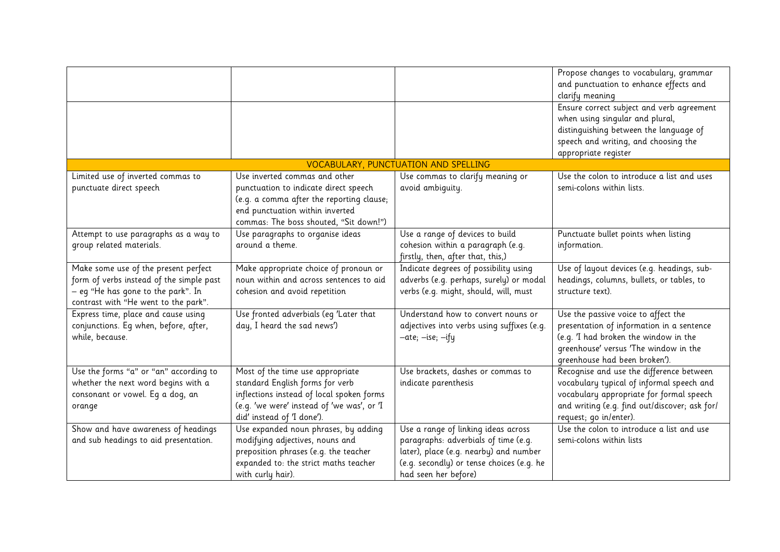|                                          |                                            |                                            | Propose changes to vocabulary, grammar        |
|------------------------------------------|--------------------------------------------|--------------------------------------------|-----------------------------------------------|
|                                          |                                            |                                            | and punctuation to enhance effects and        |
|                                          |                                            |                                            | clarify meaning                               |
|                                          |                                            |                                            | Ensure correct subject and verb agreement     |
|                                          |                                            |                                            | when using singular and plural,               |
|                                          |                                            |                                            | distinguishing between the language of        |
|                                          |                                            |                                            | speech and writing, and choosing the          |
|                                          |                                            |                                            | appropriate register                          |
|                                          |                                            | VOCABULARY, PUNCTUATION AND SPELLING       |                                               |
| Limited use of inverted commas to        | Use inverted commas and other              | Use commas to clarify meaning or           | Use the colon to introduce a list and uses    |
| punctuate direct speech                  | punctuation to indicate direct speech      | avoid ambiquity.                           | semi-colons within lists.                     |
|                                          | (e.g. a comma after the reporting clause;  |                                            |                                               |
|                                          | end punctuation within inverted            |                                            |                                               |
|                                          | commas: The boss shouted, "Sit down!")     |                                            |                                               |
| Attempt to use paragraphs as a way to    | Use paragraphs to organise ideas           | Use a range of devices to build            | Punctuate bullet points when listing          |
| group related materials.                 | around a theme.                            | cohesion within a paragraph (e.g.          | information.                                  |
|                                          |                                            | firstly, then, after that, this,)          |                                               |
| Make some use of the present perfect     | Make appropriate choice of pronoun or      | Indicate degrees of possibility using      | Use of layout devices (e.g. headings, sub-    |
| form of verbs instead of the simple past | noun within and across sentences to aid    | adverbs (e.g. perhaps, surely) or modal    | headings, columns, bullets, or tables, to     |
| – eg "He has gone to the park". In       | cohesion and avoid repetition              | verbs (e.g. might, should, will, must      | structure text).                              |
| contrast with "He went to the park".     |                                            |                                            |                                               |
| Express time, place and cause using      | Use fronted adverbials (eq 'Later that     | Understand how to convert nouns or         | Use the passive voice to affect the           |
| conjunctions. Eq when, before, after,    | day, I heard the sad news')                | adjectives into verbs using suffixes (e.g. | presentation of information in a sentence     |
| while, because.                          |                                            | -ate; -ise; -ify                           | (e.g. 'I had broken the window in the         |
|                                          |                                            |                                            | greenhouse' versus 'The window in the         |
|                                          |                                            |                                            | greenhouse had been broken').                 |
| Use the forms "a" or "an" according to   | Most of the time use appropriate           | Use brackets, dashes or commas to          | Recognise and use the difference between      |
| whether the next word begins with a      | standard English forms for verb            | indicate parenthesis                       | vocabulary typical of informal speech and     |
| consonant or vowel. Eq a dog, an         | inflections instead of local spoken forms  |                                            | vocabulary appropriate for formal speech      |
| orange                                   | (e.g. 'we were' instead of 'we was', or 'I |                                            | and writing (e.g. find out/discover; ask for/ |
|                                          | did' instead of 'I done').                 |                                            | request; go in/enter).                        |
| Show and have awareness of headings      | Use expanded noun phrases, by adding       | Use a range of linking ideas across        | Use the colon to introduce a list and use     |
| and sub headings to aid presentation.    | modifying adjectives, nouns and            | paragraphs: adverbials of time (e.g.       | semi-colons within lists                      |
|                                          | preposition phrases (e.g. the teacher      | later), place (e.g. nearby) and number     |                                               |
|                                          | expanded to: the strict maths teacher      | (e.g. secondly) or tense choices (e.g. he  |                                               |
|                                          | with curly hair).                          | had seen her before)                       |                                               |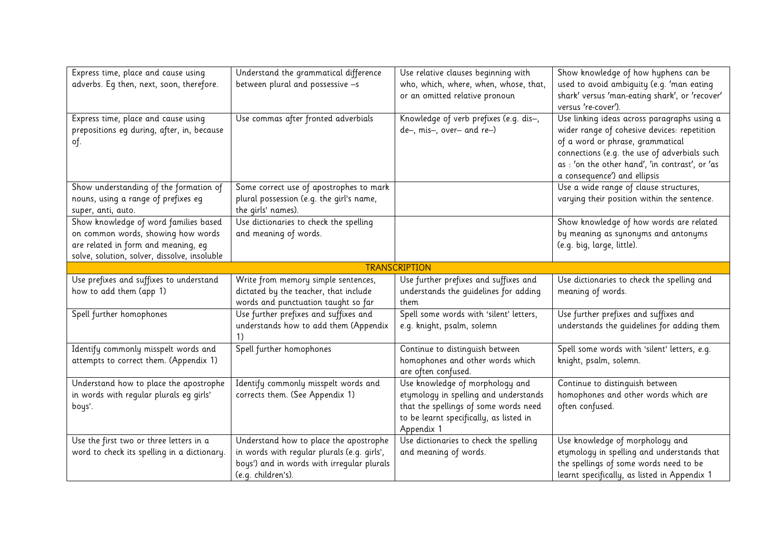| Express time, place and cause using          | Understand the grammatical difference       | Use relative clauses beginning with                    | Show knowledge of how hyphens can be            |
|----------------------------------------------|---------------------------------------------|--------------------------------------------------------|-------------------------------------------------|
| adverbs. Eq then, next, soon, therefore.     | between plural and possessive -s            | who, which, where, when, whose, that,                  | used to avoid ambiquity (e.g. 'man eating       |
|                                              |                                             | or an omitted relative pronoun                         | shark' versus 'man-eating shark', or 'recover'  |
|                                              |                                             |                                                        | versus 're-cover').                             |
| Express time, place and cause using          | Use commas after fronted adverbials         | Knowledge of verb prefixes (e.g. dis-,                 | Use linking ideas across paragraphs using a     |
| prepositions eg during, after, in, because   |                                             | de-, mis-, over- and re-)                              | wider range of cohesive devices: repetition     |
| of.                                          |                                             |                                                        | of a word or phrase, grammatical                |
|                                              |                                             |                                                        | connections (e.g. the use of adverbials such    |
|                                              |                                             |                                                        | as : 'on the other hand', 'in contrast', or 'as |
|                                              |                                             |                                                        | a consequence') and ellipsis                    |
| Show understanding of the formation of       | Some correct use of apostrophes to mark     |                                                        | Use a wide range of clause structures,          |
| nouns, using a range of prefixes eg          | plural possession (e.g. the girl's name,    |                                                        | varying their position within the sentence.     |
| super, anti, auto.                           | the girls' names).                          |                                                        |                                                 |
| Show knowledge of word families based        | Use dictionaries to check the spelling      |                                                        | Show knowledge of how words are related         |
| on common words, showing how words           | and meaning of words.                       |                                                        | by meaning as synonyms and antonyms             |
| are related in form and meaning, eg          |                                             |                                                        | (e.g. big, large, little).                      |
| solve, solution, solver, dissolve, insoluble |                                             |                                                        |                                                 |
|                                              |                                             | <b>TRANSCRIPTION</b>                                   |                                                 |
| Use prefixes and suffixes to understand      | Write from memory simple sentences,         | Use further prefixes and suffixes and                  | Use dictionaries to check the spelling and      |
| how to add them (app 1)                      | dictated by the teacher, that include       | understands the quidelines for adding                  | meaning of words.                               |
|                                              | words and punctuation taught so far         | them                                                   |                                                 |
| Spell further homophones                     | Use further prefixes and suffixes and       | Spell some words with 'silent' letters,                | Use further prefixes and suffixes and           |
|                                              | understands how to add them (Appendix<br>1) | e.g. knight, psalm, solemn                             | understands the quidelines for adding them      |
|                                              |                                             |                                                        |                                                 |
| Identify commonly misspelt words and         | Spell further homophones                    | Continue to distinguish between                        | Spell some words with 'silent' letters, e.g.    |
| attempts to correct them. (Appendix 1)       |                                             | homophones and other words which                       | knight, psalm, solemn.                          |
| Understand how to place the apostrophe       | Identify commonly misspelt words and        | are often confused.<br>Use knowledge of morphology and | Continue to distinguish between                 |
| in words with regular plurals eg girls'      | corrects them. (See Appendix 1)             | etymology in spelling and understands                  | homophones and other words which are            |
| boys'.                                       |                                             | that the spellings of some words need                  | often confused.                                 |
|                                              |                                             | to be learnt specifically, as listed in                |                                                 |
|                                              |                                             | Appendix 1                                             |                                                 |
| Use the first two or three letters in a      | Understand how to place the apostrophe      | Use dictionaries to check the spelling                 | Use knowledge of morphology and                 |
| word to check its spelling in a dictionary.  | in words with regular plurals (e.g. girls', | and meaning of words.                                  | etymology in spelling and understands that      |
|                                              | boys') and in words with irregular plurals  |                                                        | the spellings of some words need to be          |
|                                              | (e.g. children's).                          |                                                        | learnt specifically, as listed in Appendix 1    |